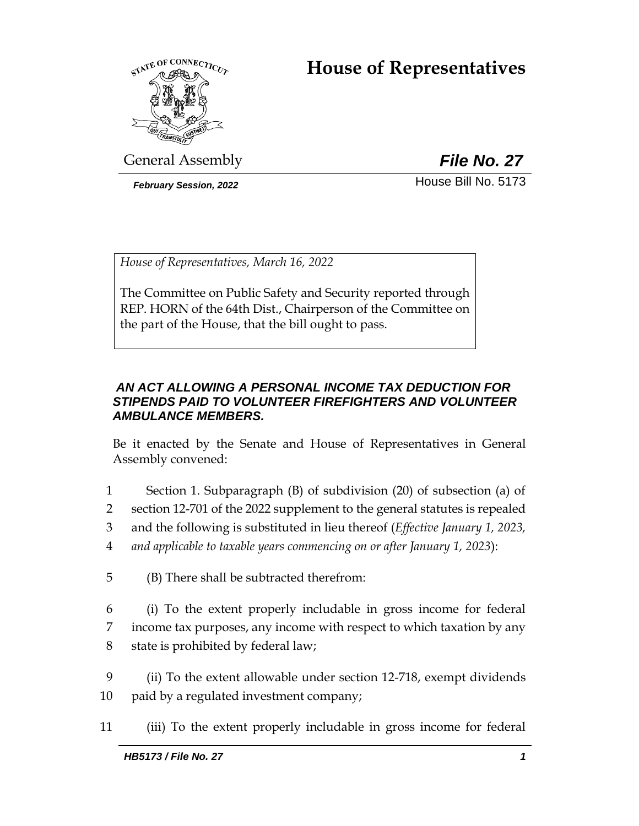# **House of Representatives**



General Assembly *File No. 27*

*February Session, 2022* House Bill No. 5173

*House of Representatives, March 16, 2022*

The Committee on Public Safety and Security reported through REP. HORN of the 64th Dist., Chairperson of the Committee on the part of the House, that the bill ought to pass.

## *AN ACT ALLOWING A PERSONAL INCOME TAX DEDUCTION FOR STIPENDS PAID TO VOLUNTEER FIREFIGHTERS AND VOLUNTEER AMBULANCE MEMBERS.*

Be it enacted by the Senate and House of Representatives in General Assembly convened:

- 1 Section 1. Subparagraph (B) of subdivision (20) of subsection (a) of
- 2 section 12-701 of the 2022 supplement to the general statutes is repealed
- 3 and the following is substituted in lieu thereof (*Effective January 1, 2023,*
- 4 *and applicable to taxable years commencing on or after January 1, 2023*):
- 5 (B) There shall be subtracted therefrom:
- 6 (i) To the extent properly includable in gross income for federal 7 income tax purposes, any income with respect to which taxation by any 8 state is prohibited by federal law;
- 9 (ii) To the extent allowable under section 12-718, exempt dividends 10 paid by a regulated investment company;
- 11 (iii) To the extent properly includable in gross income for federal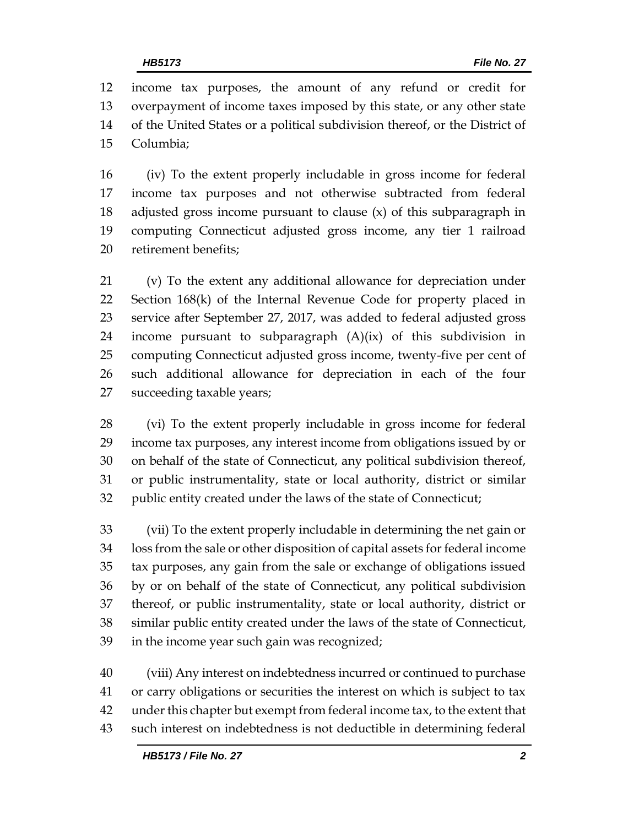income tax purposes, the amount of any refund or credit for overpayment of income taxes imposed by this state, or any other state of the United States or a political subdivision thereof, or the District of Columbia;

 (iv) To the extent properly includable in gross income for federal income tax purposes and not otherwise subtracted from federal adjusted gross income pursuant to clause (x) of this subparagraph in computing Connecticut adjusted gross income, any tier 1 railroad retirement benefits;

 (v) To the extent any additional allowance for depreciation under Section 168(k) of the Internal Revenue Code for property placed in service after September 27, 2017, was added to federal adjusted gross income pursuant to subparagraph (A)(ix) of this subdivision in computing Connecticut adjusted gross income, twenty-five per cent of such additional allowance for depreciation in each of the four succeeding taxable years;

 (vi) To the extent properly includable in gross income for federal income tax purposes, any interest income from obligations issued by or on behalf of the state of Connecticut, any political subdivision thereof, or public instrumentality, state or local authority, district or similar public entity created under the laws of the state of Connecticut;

 (vii) To the extent properly includable in determining the net gain or loss from the sale or other disposition of capital assets for federal income tax purposes, any gain from the sale or exchange of obligations issued by or on behalf of the state of Connecticut, any political subdivision thereof, or public instrumentality, state or local authority, district or similar public entity created under the laws of the state of Connecticut, in the income year such gain was recognized;

 (viii) Any interest on indebtedness incurred or continued to purchase or carry obligations or securities the interest on which is subject to tax under this chapter but exempt from federal income tax, to the extent that such interest on indebtedness is not deductible in determining federal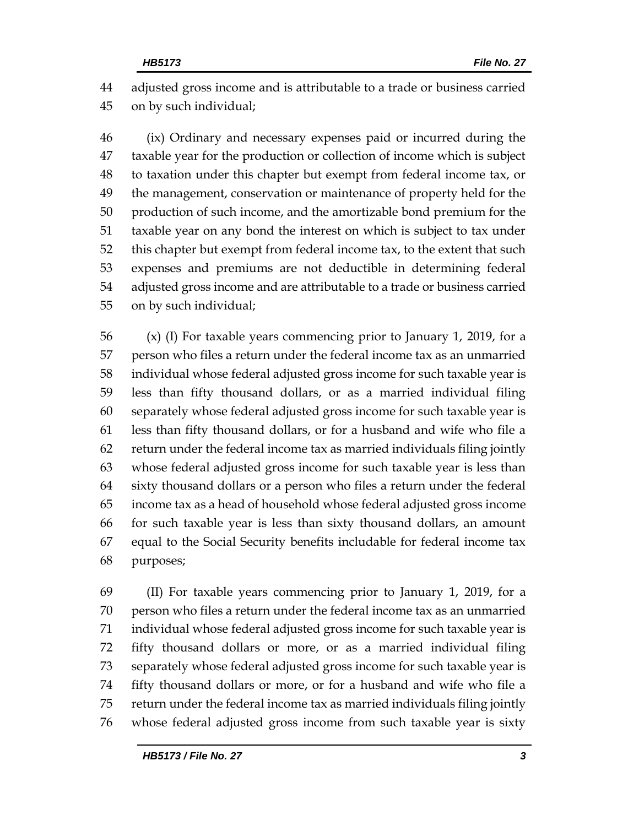adjusted gross income and is attributable to a trade or business carried on by such individual;

 (ix) Ordinary and necessary expenses paid or incurred during the taxable year for the production or collection of income which is subject to taxation under this chapter but exempt from federal income tax, or the management, conservation or maintenance of property held for the production of such income, and the amortizable bond premium for the taxable year on any bond the interest on which is subject to tax under this chapter but exempt from federal income tax, to the extent that such expenses and premiums are not deductible in determining federal adjusted gross income and are attributable to a trade or business carried on by such individual;

 (x) (I) For taxable years commencing prior to January 1, 2019, for a person who files a return under the federal income tax as an unmarried individual whose federal adjusted gross income for such taxable year is less than fifty thousand dollars, or as a married individual filing separately whose federal adjusted gross income for such taxable year is less than fifty thousand dollars, or for a husband and wife who file a return under the federal income tax as married individuals filing jointly whose federal adjusted gross income for such taxable year is less than sixty thousand dollars or a person who files a return under the federal income tax as a head of household whose federal adjusted gross income for such taxable year is less than sixty thousand dollars, an amount equal to the Social Security benefits includable for federal income tax purposes;

 (II) For taxable years commencing prior to January 1, 2019, for a person who files a return under the federal income tax as an unmarried individual whose federal adjusted gross income for such taxable year is fifty thousand dollars or more, or as a married individual filing separately whose federal adjusted gross income for such taxable year is fifty thousand dollars or more, or for a husband and wife who file a return under the federal income tax as married individuals filing jointly whose federal adjusted gross income from such taxable year is sixty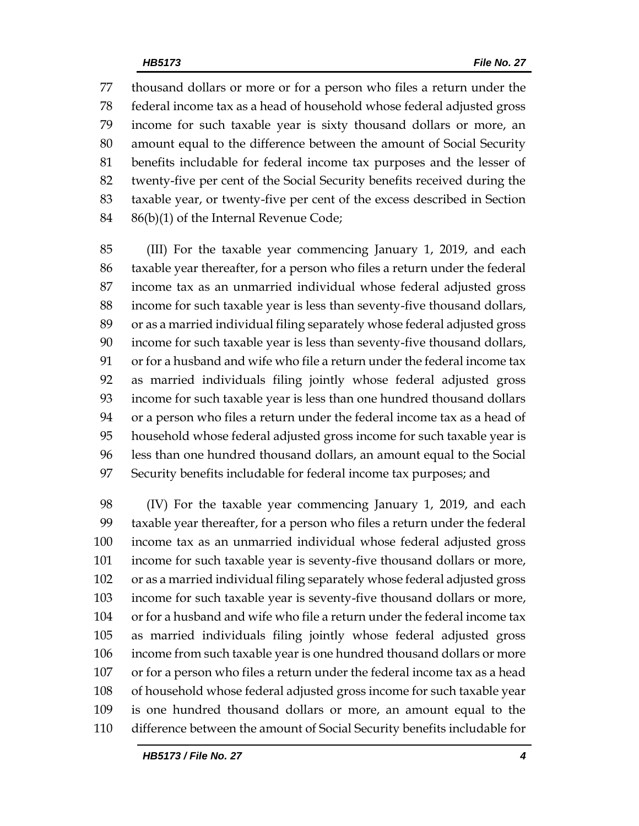thousand dollars or more or for a person who files a return under the federal income tax as a head of household whose federal adjusted gross income for such taxable year is sixty thousand dollars or more, an amount equal to the difference between the amount of Social Security benefits includable for federal income tax purposes and the lesser of twenty-five per cent of the Social Security benefits received during the taxable year, or twenty-five per cent of the excess described in Section 86(b)(1) of the Internal Revenue Code;

 (III) For the taxable year commencing January 1, 2019, and each taxable year thereafter, for a person who files a return under the federal income tax as an unmarried individual whose federal adjusted gross income for such taxable year is less than seventy-five thousand dollars, or as a married individual filing separately whose federal adjusted gross income for such taxable year is less than seventy-five thousand dollars, or for a husband and wife who file a return under the federal income tax as married individuals filing jointly whose federal adjusted gross income for such taxable year is less than one hundred thousand dollars or a person who files a return under the federal income tax as a head of household whose federal adjusted gross income for such taxable year is less than one hundred thousand dollars, an amount equal to the Social Security benefits includable for federal income tax purposes; and

 (IV) For the taxable year commencing January 1, 2019, and each taxable year thereafter, for a person who files a return under the federal income tax as an unmarried individual whose federal adjusted gross income for such taxable year is seventy-five thousand dollars or more, or as a married individual filing separately whose federal adjusted gross income for such taxable year is seventy-five thousand dollars or more, or for a husband and wife who file a return under the federal income tax as married individuals filing jointly whose federal adjusted gross income from such taxable year is one hundred thousand dollars or more or for a person who files a return under the federal income tax as a head of household whose federal adjusted gross income for such taxable year is one hundred thousand dollars or more, an amount equal to the difference between the amount of Social Security benefits includable for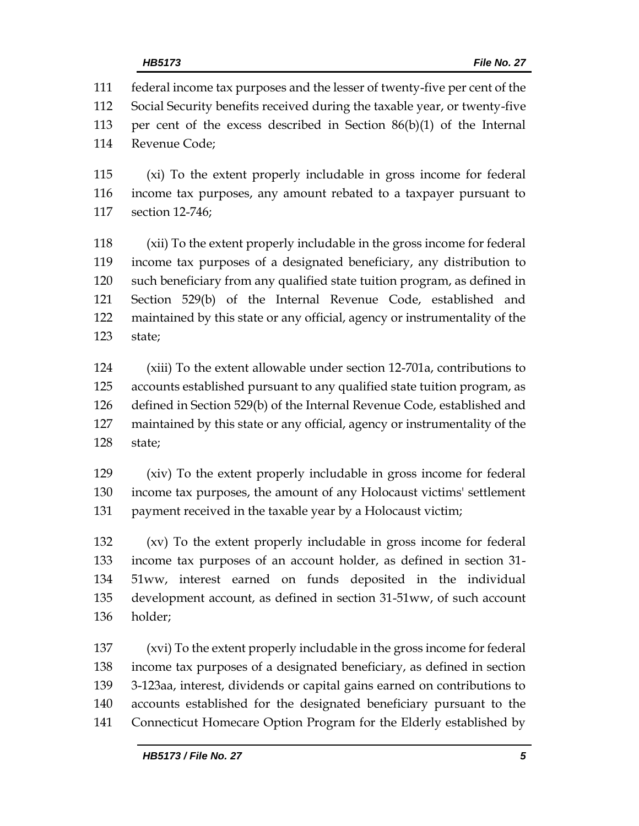federal income tax purposes and the lesser of twenty-five per cent of the Social Security benefits received during the taxable year, or twenty-five per cent of the excess described in Section 86(b)(1) of the Internal Revenue Code;

 (xi) To the extent properly includable in gross income for federal income tax purposes, any amount rebated to a taxpayer pursuant to section 12-746;

 (xii) To the extent properly includable in the gross income for federal income tax purposes of a designated beneficiary, any distribution to such beneficiary from any qualified state tuition program, as defined in Section 529(b) of the Internal Revenue Code, established and maintained by this state or any official, agency or instrumentality of the state;

 (xiii) To the extent allowable under section 12-701a, contributions to accounts established pursuant to any qualified state tuition program, as defined in Section 529(b) of the Internal Revenue Code, established and maintained by this state or any official, agency or instrumentality of the state;

 (xiv) To the extent properly includable in gross income for federal income tax purposes, the amount of any Holocaust victims' settlement payment received in the taxable year by a Holocaust victim;

 (xv) To the extent properly includable in gross income for federal income tax purposes of an account holder, as defined in section 31- 51ww, interest earned on funds deposited in the individual development account, as defined in section 31-51ww, of such account holder;

 (xvi) To the extent properly includable in the gross income for federal income tax purposes of a designated beneficiary, as defined in section 3-123aa, interest, dividends or capital gains earned on contributions to accounts established for the designated beneficiary pursuant to the Connecticut Homecare Option Program for the Elderly established by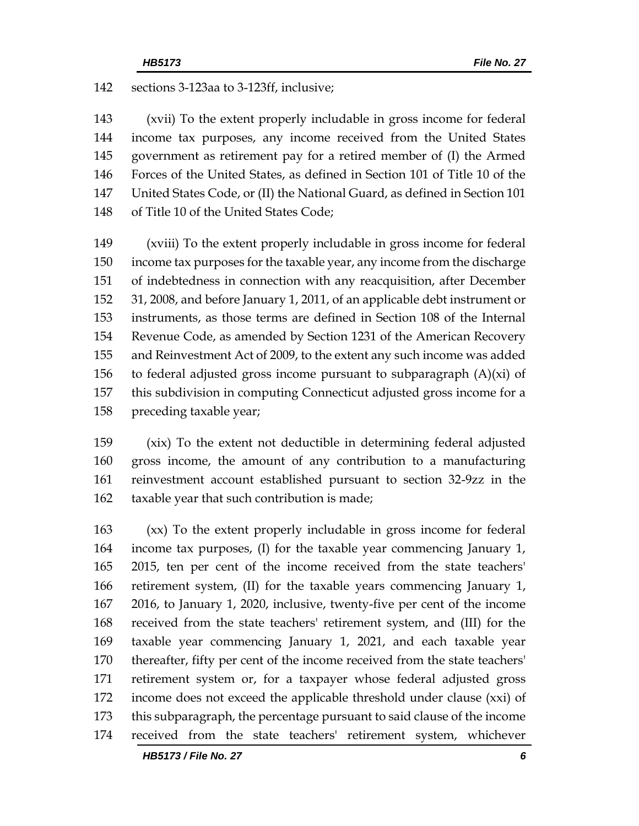sections 3-123aa to 3-123ff, inclusive;

 (xvii) To the extent properly includable in gross income for federal income tax purposes, any income received from the United States government as retirement pay for a retired member of (I) the Armed Forces of the United States, as defined in Section 101 of Title 10 of the United States Code, or (II) the National Guard, as defined in Section 101 of Title 10 of the United States Code;

 (xviii) To the extent properly includable in gross income for federal income tax purposes for the taxable year, any income from the discharge of indebtedness in connection with any reacquisition, after December 31, 2008, and before January 1, 2011, of an applicable debt instrument or instruments, as those terms are defined in Section 108 of the Internal Revenue Code, as amended by Section 1231 of the American Recovery and Reinvestment Act of 2009, to the extent any such income was added 156 to federal adjusted gross income pursuant to subparagraph  $(A)(xi)$  of this subdivision in computing Connecticut adjusted gross income for a preceding taxable year;

 (xix) To the extent not deductible in determining federal adjusted gross income, the amount of any contribution to a manufacturing reinvestment account established pursuant to section 32-9zz in the taxable year that such contribution is made;

 (xx) To the extent properly includable in gross income for federal income tax purposes, (I) for the taxable year commencing January 1, 2015, ten per cent of the income received from the state teachers' retirement system, (II) for the taxable years commencing January 1, 2016, to January 1, 2020, inclusive, twenty-five per cent of the income received from the state teachers' retirement system, and (III) for the taxable year commencing January 1, 2021, and each taxable year thereafter, fifty per cent of the income received from the state teachers' retirement system or, for a taxpayer whose federal adjusted gross income does not exceed the applicable threshold under clause (xxi) of this subparagraph, the percentage pursuant to said clause of the income received from the state teachers' retirement system, whichever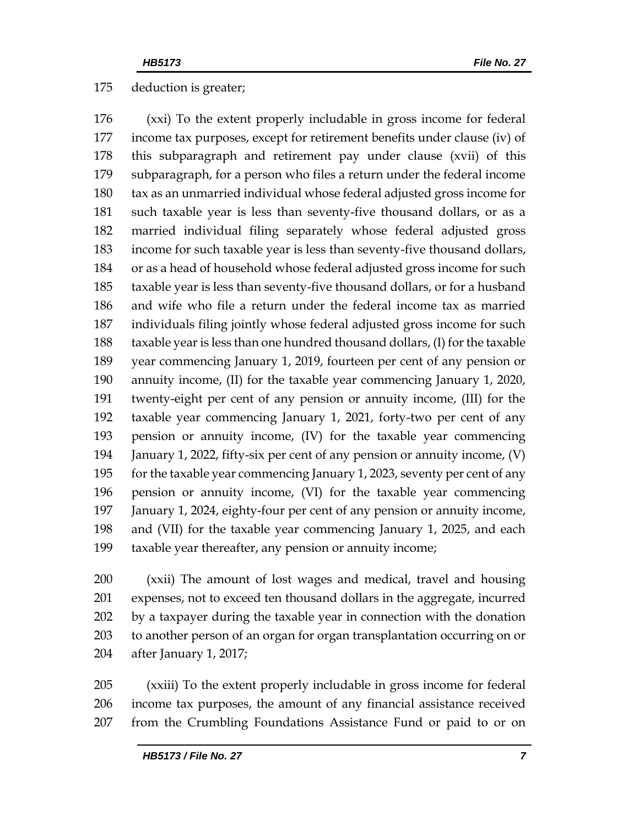#### deduction is greater;

 (xxi) To the extent properly includable in gross income for federal income tax purposes, except for retirement benefits under clause (iv) of this subparagraph and retirement pay under clause (xvii) of this subparagraph, for a person who files a return under the federal income tax as an unmarried individual whose federal adjusted gross income for such taxable year is less than seventy-five thousand dollars, or as a married individual filing separately whose federal adjusted gross income for such taxable year is less than seventy-five thousand dollars, or as a head of household whose federal adjusted gross income for such taxable year is less than seventy-five thousand dollars, or for a husband and wife who file a return under the federal income tax as married individuals filing jointly whose federal adjusted gross income for such taxable year is less than one hundred thousand dollars, (I) for the taxable year commencing January 1, 2019, fourteen per cent of any pension or annuity income, (II) for the taxable year commencing January 1, 2020, twenty-eight per cent of any pension or annuity income, (III) for the taxable year commencing January 1, 2021, forty-two per cent of any pension or annuity income, (IV) for the taxable year commencing January 1, 2022, fifty-six per cent of any pension or annuity income, (V) for the taxable year commencing January 1, 2023, seventy per cent of any pension or annuity income, (VI) for the taxable year commencing January 1, 2024, eighty-four per cent of any pension or annuity income, and (VII) for the taxable year commencing January 1, 2025, and each taxable year thereafter, any pension or annuity income;

 (xxii) The amount of lost wages and medical, travel and housing expenses, not to exceed ten thousand dollars in the aggregate, incurred by a taxpayer during the taxable year in connection with the donation to another person of an organ for organ transplantation occurring on or after January 1, 2017;

 (xxiii) To the extent properly includable in gross income for federal income tax purposes, the amount of any financial assistance received from the Crumbling Foundations Assistance Fund or paid to or on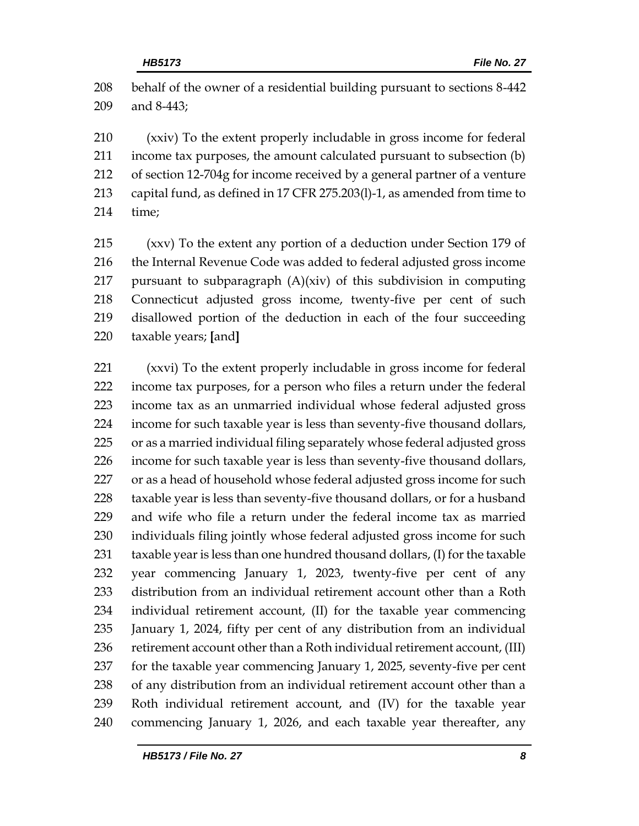behalf of the owner of a residential building pursuant to sections 8-442 and 8-443;

 (xxiv) To the extent properly includable in gross income for federal income tax purposes, the amount calculated pursuant to subsection (b) of section 12-704g for income received by a general partner of a venture capital fund, as defined in 17 CFR 275.203(l)-1, as amended from time to time;

 (xxv) To the extent any portion of a deduction under Section 179 of 216 the Internal Revenue Code was added to federal adjusted gross income pursuant to subparagraph (A)(xiv) of this subdivision in computing Connecticut adjusted gross income, twenty-five per cent of such disallowed portion of the deduction in each of the four succeeding taxable years; **[**and**]**

 (xxvi) To the extent properly includable in gross income for federal income tax purposes, for a person who files a return under the federal income tax as an unmarried individual whose federal adjusted gross income for such taxable year is less than seventy-five thousand dollars, or as a married individual filing separately whose federal adjusted gross income for such taxable year is less than seventy-five thousand dollars, 227 or as a head of household whose federal adjusted gross income for such taxable year is less than seventy-five thousand dollars, or for a husband and wife who file a return under the federal income tax as married individuals filing jointly whose federal adjusted gross income for such taxable year is less than one hundred thousand dollars, (I) for the taxable year commencing January 1, 2023, twenty-five per cent of any distribution from an individual retirement account other than a Roth individual retirement account, (II) for the taxable year commencing January 1, 2024, fifty per cent of any distribution from an individual 236 retirement account other than a Roth individual retirement account, (III) for the taxable year commencing January 1, 2025, seventy-five per cent of any distribution from an individual retirement account other than a Roth individual retirement account, and (IV) for the taxable year commencing January 1, 2026, and each taxable year thereafter, any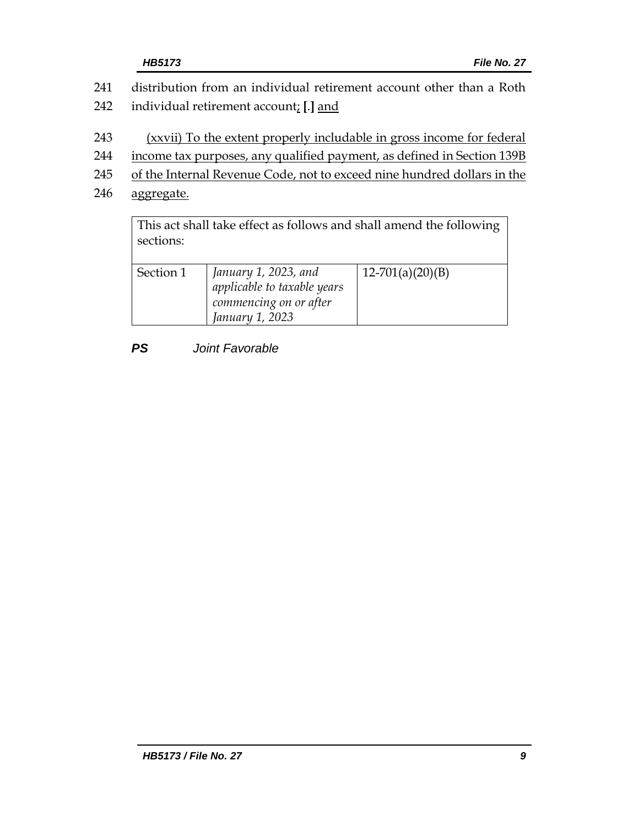- 241 distribution from an individual retirement account other than a Roth 242 individual retirement account; **[**.**]** and
- 243 (xxvii) To the extent properly includable in gross income for federal
- 244 income tax purposes, any qualified payment, as defined in Section 139B
- 245 of the Internal Revenue Code, not to exceed nine hundred dollars in the
- 246 aggregate.

This act shall take effect as follows and shall amend the following sections:

| Section 1 | January 1, 2023, and<br>applicable to taxable years<br>commencing on or after | $12-701(a)(20)(B)$ |
|-----------|-------------------------------------------------------------------------------|--------------------|
|           | January 1, 2023                                                               |                    |
|           |                                                                               |                    |

# *PS Joint Favorable*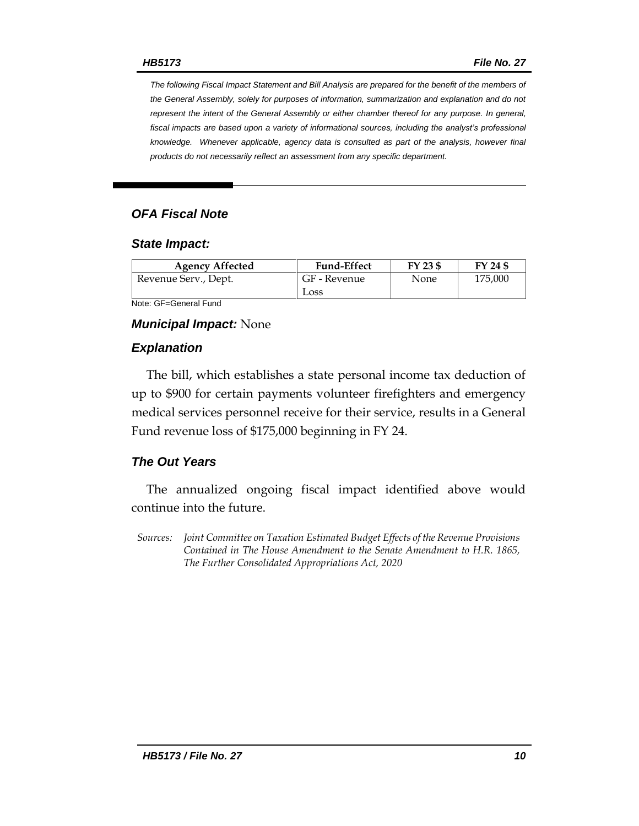*The following Fiscal Impact Statement and Bill Analysis are prepared for the benefit of the members of the General Assembly, solely for purposes of information, summarization and explanation and do not represent the intent of the General Assembly or either chamber thereof for any purpose. In general,*  fiscal impacts are based upon a variety of informational sources, including the analyst's professional *knowledge. Whenever applicable, agency data is consulted as part of the analysis, however final products do not necessarily reflect an assessment from any specific department.*

## *OFA Fiscal Note*

#### *State Impact:*

| <b>Agency Affected</b> | <b>Fund-Effect</b> | FY 23 \$ | FY 24 \$ |
|------------------------|--------------------|----------|----------|
| Revenue Serv., Dept.   | GF - Revenue       | None     | 175,000  |
|                        | Loss               |          |          |

Note: GF=General Fund

#### *Municipal Impact:* None

#### *Explanation*

The bill, which establishes a state personal income tax deduction of up to \$900 for certain payments volunteer firefighters and emergency medical services personnel receive for their service, results in a General Fund revenue loss of \$175,000 beginning in FY 24.

#### *The Out Years*

The annualized ongoing fiscal impact identified above would continue into the future.

*Sources: Joint Committee on Taxation Estimated Budget Effects of the Revenue Provisions Contained in The House Amendment to the Senate Amendment to H.R. 1865, The Further Consolidated Appropriations Act, 2020*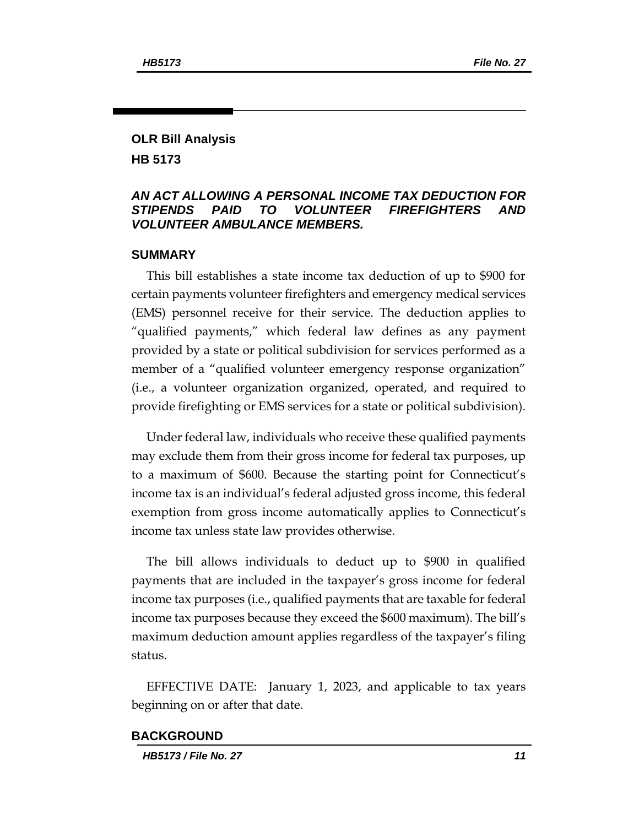#### **OLR Bill Analysis HB 5173**

#### *AN ACT ALLOWING A PERSONAL INCOME TAX DEDUCTION FOR STIPENDS PAID TO VOLUNTEER FIREFIGHTERS AND VOLUNTEER AMBULANCE MEMBERS.*

#### **SUMMARY**

This bill establishes a state income tax deduction of up to \$900 for certain payments volunteer firefighters and emergency medical services (EMS) personnel receive for their service. The deduction applies to "qualified payments," which federal law defines as any payment provided by a state or political subdivision for services performed as a member of a "qualified volunteer emergency response organization" (i.e., a volunteer organization organized, operated, and required to provide firefighting or EMS services for a state or political subdivision).

Under federal law, individuals who receive these qualified payments may exclude them from their gross income for federal tax purposes, up to a maximum of \$600. Because the starting point for Connecticut's income tax is an individual's federal adjusted gross income, this federal exemption from gross income automatically applies to Connecticut's income tax unless state law provides otherwise.

The bill allows individuals to deduct up to \$900 in qualified payments that are included in the taxpayer's gross income for federal income tax purposes (i.e., qualified payments that are taxable for federal income tax purposes because they exceed the \$600 maximum). The bill's maximum deduction amount applies regardless of the taxpayer's filing status.

EFFECTIVE DATE: January 1, 2023, and applicable to tax years beginning on or after that date.

#### **BACKGROUND**